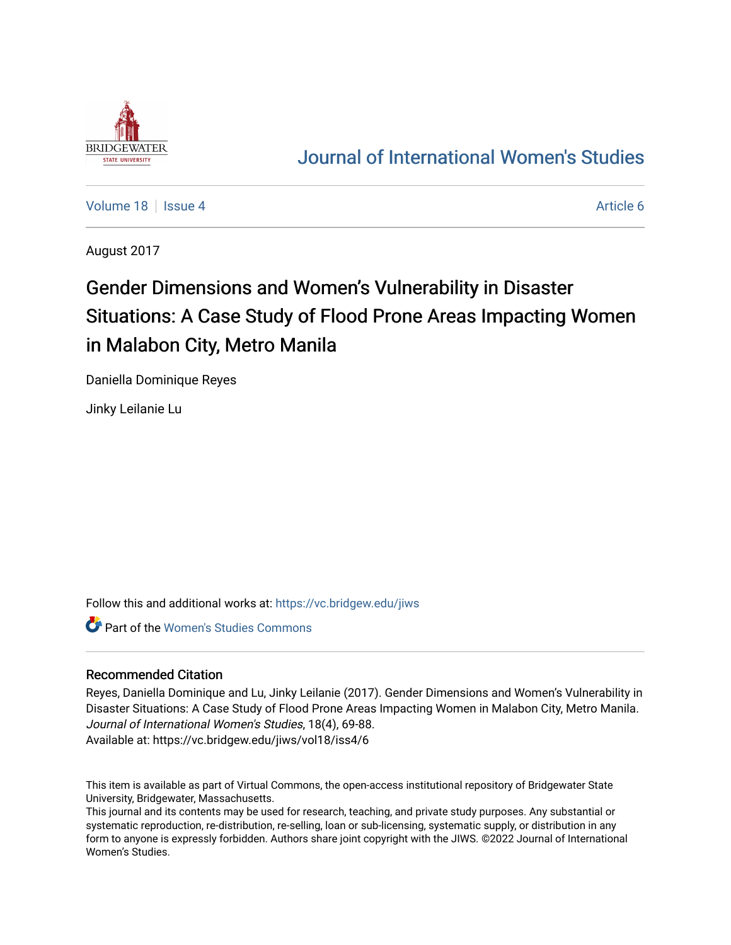

## [Journal of International Women's Studies](https://vc.bridgew.edu/jiws)

[Volume 18](https://vc.bridgew.edu/jiws/vol18) Setus 4 [Article 6](https://vc.bridgew.edu/jiws/vol18/iss4/6) Article 6 Article 6 Article 6 Article 6 Article 6 Article 6

August 2017

# Gender Dimensions and Women's Vulnerability in Disaster Situations: A Case Study of Flood Prone Areas Impacting Women in Malabon City, Metro Manila

Daniella Dominique Reyes

Jinky Leilanie Lu

Follow this and additional works at: [https://vc.bridgew.edu/jiws](https://vc.bridgew.edu/jiws?utm_source=vc.bridgew.edu%2Fjiws%2Fvol18%2Fiss4%2F6&utm_medium=PDF&utm_campaign=PDFCoverPages)

**Part of the Women's Studies Commons** 

## Recommended Citation

Reyes, Daniella Dominique and Lu, Jinky Leilanie (2017). Gender Dimensions and Women's Vulnerability in Disaster Situations: A Case Study of Flood Prone Areas Impacting Women in Malabon City, Metro Manila. Journal of International Women's Studies, 18(4), 69-88. Available at: https://vc.bridgew.edu/jiws/vol18/iss4/6

This item is available as part of Virtual Commons, the open-access institutional repository of Bridgewater State University, Bridgewater, Massachusetts.

This journal and its contents may be used for research, teaching, and private study purposes. Any substantial or systematic reproduction, re-distribution, re-selling, loan or sub-licensing, systematic supply, or distribution in any form to anyone is expressly forbidden. Authors share joint copyright with the JIWS. ©2022 Journal of International Women's Studies.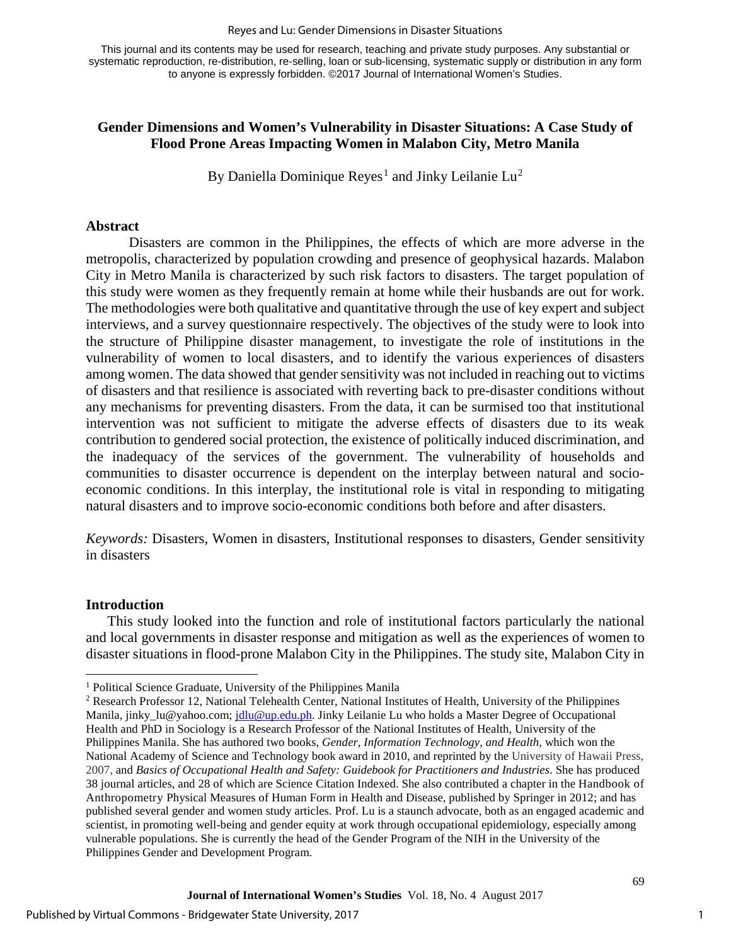#### Reyes and Lu: Gender Dimensions in Disaster Situations

This journal and its contents may be used for research, teaching and private study purposes. Any substantial or systematic reproduction, re-distribution, re-selling, loan or sub-licensing, systematic supply or distribution in any form to anyone is expressly forbidden. ©2017 Journal of International Women's Studies.

## **Gender Dimensions and Women's Vulnerability in Disaster Situations: A Case Study of Flood Prone Areas Impacting Women in Malabon City, Metro Manila**

By Daniella Dominique Reyes<sup>[1](#page-1-0)</sup> and Jinky Leilanie  ${\rm Lu^2}$  ${\rm Lu^2}$  ${\rm Lu^2}$ 

## **Abstract**

Disasters are common in the Philippines, the effects of which are more adverse in the metropolis, characterized by population crowding and presence of geophysical hazards. Malabon City in Metro Manila is characterized by such risk factors to disasters. The target population of this study were women as they frequently remain at home while their husbands are out for work. The methodologies were both qualitative and quantitative through the use of key expert and subject interviews, and a survey questionnaire respectively. The objectives of the study were to look into the structure of Philippine disaster management, to investigate the role of institutions in the vulnerability of women to local disasters, and to identify the various experiences of disasters among women. The data showed that gender sensitivity was not included in reaching out to victims of disasters and that resilience is associated with reverting back to pre-disaster conditions without any mechanisms for preventing disasters. From the data, it can be surmised too that institutional intervention was not sufficient to mitigate the adverse effects of disasters due to its weak contribution to gendered social protection, the existence of politically induced discrimination, and the inadequacy of the services of the government. The vulnerability of households and communities to disaster occurrence is dependent on the interplay between natural and socioeconomic conditions. In this interplay, the institutional role is vital in responding to mitigating natural disasters and to improve socio-economic conditions both before and after disasters.

*Keywords:* Disasters, Women in disasters, Institutional responses to disasters, Gender sensitivity in disasters

## **Introduction**

l

This study looked into the function and role of institutional factors particularly the national and local governments in disaster response and mitigation as well as the experiences of women to disaster situations in flood-prone Malabon City in the Philippines. The study site, Malabon City in

<span id="page-1-0"></span><sup>&</sup>lt;sup>1</sup> Political Science Graduate, University of the Philippines Manila

<span id="page-1-1"></span><sup>2</sup> Research Professor 12, National Telehealth Center, National Institutes of Health, University of the Philippines Manila, [jinky\\_lu@yahoo.com;](mailto:jinky_lu@yahoo.com) [jdlu@up.edu.ph.](mailto:jdlu@up.edu.ph) Jinky Leilanie Lu who holds a Master Degree of Occupational Health and PhD in Sociology is a Research Professor of the National Institutes of Health, University of the Philippines Manila. She has authored two books, *Gender, Information Technology, and Health,* which won the National Academy of Science and Technology book award in 2010, and reprinted by the University of Hawaii Press, 2007, and *Basics of Occupational Health and Safety: Guidebook for Practitioners and Industries*. She has produced 38 journal articles, and 28 of which are Science Citation Indexed. She also contributed a chapter in the Handbook of Anthropometry Physical Measures of Human Form in Health and Disease, published by Springer in 2012; and has published several gender and women study articles. Prof. Lu is a staunch advocate, both as an engaged academic and scientist, in promoting well-being and gender equity at work through occupational epidemiology, especially among vulnerable populations. She is currently the head of the Gender Program of the NIH in the University of the Philippines Gender and Development Program.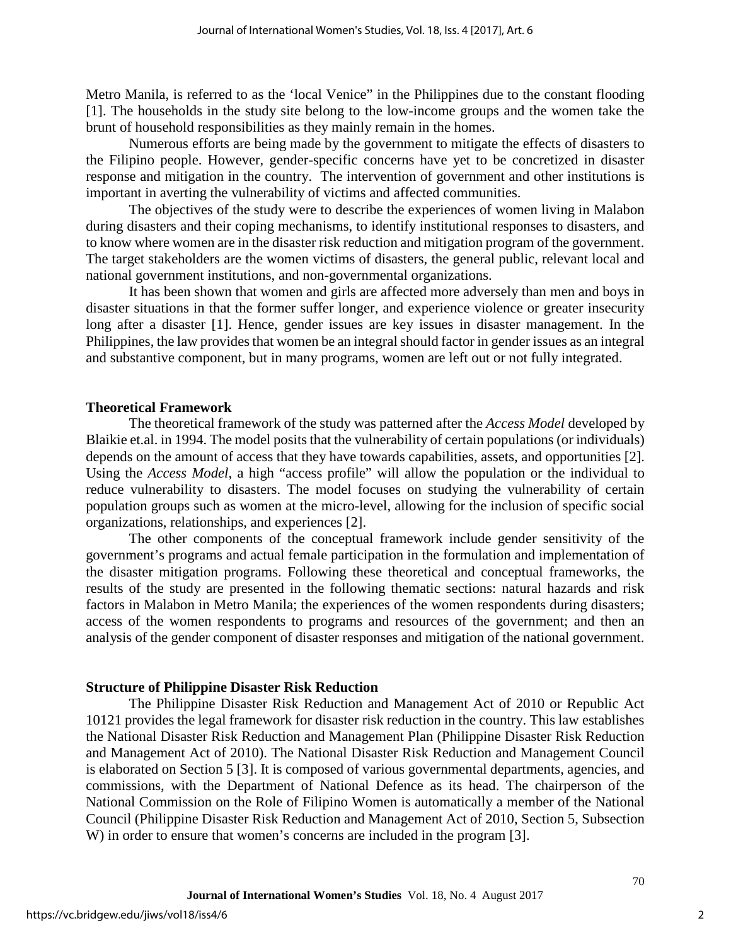Metro Manila, is referred to as the 'local Venice" in the Philippines due to the constant flooding [1]. The households in the study site belong to the low-income groups and the women take the brunt of household responsibilities as they mainly remain in the homes.

Numerous efforts are being made by the government to mitigate the effects of disasters to the Filipino people. However, gender-specific concerns have yet to be concretized in disaster response and mitigation in the country. The intervention of government and other institutions is important in averting the vulnerability of victims and affected communities.

The objectives of the study were to describe the experiences of women living in Malabon during disasters and their coping mechanisms, to identify institutional responses to disasters, and to know where women are in the disaster risk reduction and mitigation program of the government. The target stakeholders are the women victims of disasters, the general public, relevant local and national government institutions, and non-governmental organizations.

It has been shown that women and girls are affected more adversely than men and boys in disaster situations in that the former suffer longer, and experience violence or greater insecurity long after a disaster [1]. Hence, gender issues are key issues in disaster management. In the Philippines, the law provides that women be an integral should factor in gender issues as an integral and substantive component, but in many programs, women are left out or not fully integrated.

## **Theoretical Framework**

The theoretical framework of the study was patterned after the *Access Model* developed by Blaikie et.al. in 1994. The model posits that the vulnerability of certain populations (or individuals) depends on the amount of access that they have towards capabilities, assets, and opportunities [2]. Using the *Access Model*, a high "access profile" will allow the population or the individual to reduce vulnerability to disasters. The model focuses on studying the vulnerability of certain population groups such as women at the micro-level, allowing for the inclusion of specific social organizations, relationships, and experiences [2].

The other components of the conceptual framework include gender sensitivity of the government's programs and actual female participation in the formulation and implementation of the disaster mitigation programs. Following these theoretical and conceptual frameworks, the results of the study are presented in the following thematic sections: natural hazards and risk factors in Malabon in Metro Manila; the experiences of the women respondents during disasters; access of the women respondents to programs and resources of the government; and then an analysis of the gender component of disaster responses and mitigation of the national government.

## **Structure of Philippine Disaster Risk Reduction**

The Philippine Disaster Risk Reduction and Management Act of 2010 or Republic Act 10121 provides the legal framework for disaster risk reduction in the country. This law establishes the National Disaster Risk Reduction and Management Plan (Philippine Disaster Risk Reduction and Management Act of 2010). The National Disaster Risk Reduction and Management Council is elaborated on Section 5 [3]. It is composed of various governmental departments, agencies, and commissions, with the Department of National Defence as its head. The chairperson of the National Commission on the Role of Filipino Women is automatically a member of the National Council (Philippine Disaster Risk Reduction and Management Act of 2010, Section 5, Subsection W) in order to ensure that women's concerns are included in the program [3].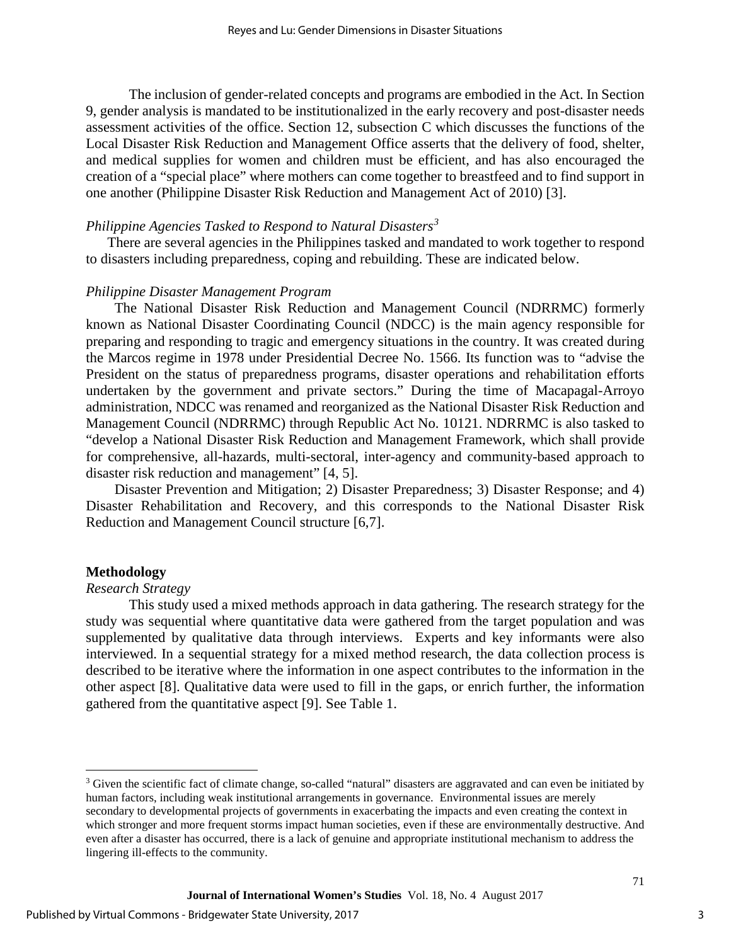The inclusion of gender-related concepts and programs are embodied in the Act. In Section 9, gender analysis is mandated to be institutionalized in the early recovery and post-disaster needs assessment activities of the office. Section 12, subsection C which discusses the functions of the Local Disaster Risk Reduction and Management Office asserts that the delivery of food, shelter, and medical supplies for women and children must be efficient, and has also encouraged the creation of a "special place" where mothers can come together to breastfeed and to find support in one another (Philippine Disaster Risk Reduction and Management Act of 2010) [3].

## *Philippine Agencies Tasked to Respond to Natural Disasters[3](#page-3-0)*

There are several agencies in the Philippines tasked and mandated to work together to respond to disasters including preparedness, coping and rebuilding. These are indicated below.

#### *Philippine Disaster Management Program*

The National Disaster Risk Reduction and Management Council (NDRRMC) formerly known as National Disaster Coordinating Council (NDCC) is the main agency responsible for preparing and responding to tragic and emergency situations in the country. It was created during the Marcos regime in 1978 under Presidential Decree No. 1566. Its function was to "advise the President on the status of preparedness programs, disaster operations and rehabilitation efforts undertaken by the government and private sectors." During the time of Macapagal-Arroyo administration, NDCC was renamed and reorganized as the National Disaster Risk Reduction and Management Council (NDRRMC) through Republic Act No. 10121. NDRRMC is also tasked to "develop a National Disaster Risk Reduction and Management Framework, which shall provide for comprehensive, all-hazards, multi-sectoral, inter-agency and community-based approach to disaster risk reduction and management" [4, 5].

Disaster Prevention and Mitigation; 2) Disaster Preparedness; 3) Disaster Response; and 4) Disaster Rehabilitation and Recovery, and this corresponds to the National Disaster Risk Reduction and Management Council structure [6,7].

## **Methodology**

 $\overline{a}$ 

## *Research Strategy*

This study used a mixed methods approach in data gathering. The research strategy for the study was sequential where quantitative data were gathered from the target population and was supplemented by qualitative data through interviews. Experts and key informants were also interviewed. In a sequential strategy for a mixed method research, the data collection process is described to be iterative where the information in one aspect contributes to the information in the other aspect [8]. Qualitative data were used to fill in the gaps, or enrich further, the information gathered from the quantitative aspect [9]. See Table 1.

<span id="page-3-0"></span><sup>&</sup>lt;sup>3</sup> Given the scientific fact of climate change, so-called "natural" disasters are aggravated and can even be initiated by human factors, including weak institutional arrangements in governance. Environmental issues are merely secondary to developmental projects of governments in exacerbating the impacts and even creating the context in which stronger and more frequent storms impact human societies, even if these are environmentally destructive. And even after a disaster has occurred, there is a lack of genuine and appropriate institutional mechanism to address the lingering ill-effects to the community.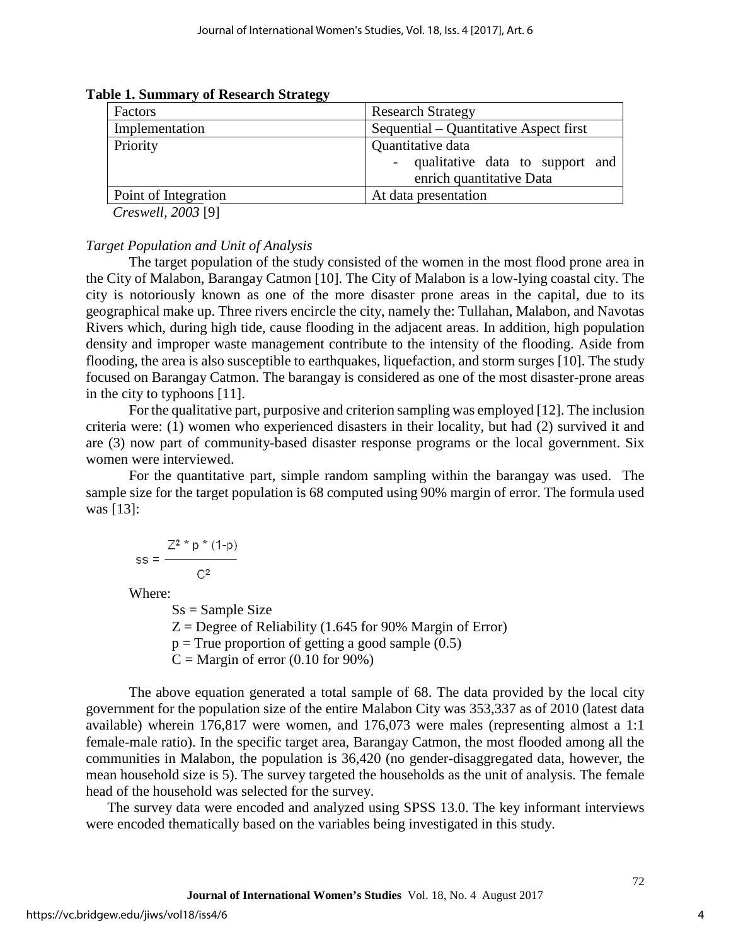| Factors              | <b>Research Strategy</b>               |
|----------------------|----------------------------------------|
| Implementation       | Sequential – Quantitative Aspect first |
| Priority             | Quantitative data                      |
|                      | qualitative data to support and        |
|                      | enrich quantitative Data               |
| Point of Integration | At data presentation                   |
|                      |                                        |

## **Table 1. Summary of Research Strategy**

*Creswell, 2003* [9]

## *Target Population and Unit of Analysis*

The target population of the study consisted of the women in the most flood prone area in the City of Malabon, Barangay Catmon [10]. The City of Malabon is a low-lying coastal city. The city is notoriously known as one of the more disaster prone areas in the capital, due to its geographical make up. Three rivers encircle the city, namely the: Tullahan, Malabon, and Navotas Rivers which, during high tide, cause flooding in the adjacent areas. In addition, high population density and improper waste management contribute to the intensity of the flooding. Aside from flooding, the area is also susceptible to earthquakes, liquefaction, and storm surges [10]. The study focused on Barangay Catmon. The barangay is considered as one of the most disaster-prone areas in the city to typhoons [11].

For the qualitative part, purposive and criterion sampling was employed [12]. The inclusion criteria were: (1) women who experienced disasters in their locality, but had (2) survived it and are (3) now part of community-based disaster response programs or the local government. Six women were interviewed.

For the quantitative part, simple random sampling within the barangay was used. The sample size for the target population is 68 computed using 90% margin of error. The formula used was [13]:

$$
ss = \frac{Z^2 * p * (1-p)}{C^2}
$$

Where:

 $Ss =$ Sample Size  $Z =$  Degree of Reliability (1.645 for 90% Margin of Error)  $p = True$  proportion of getting a good sample  $(0.5)$  $C =$ Margin of error (0.10 for 90%)

The above equation generated a total sample of 68. The data provided by the local city government for the population size of the entire Malabon City was 353,337 as of 2010 (latest data available) wherein 176,817 were women, and 176,073 were males (representing almost a 1:1 female-male ratio). In the specific target area, Barangay Catmon, the most flooded among all the communities in Malabon, the population is 36,420 (no gender-disaggregated data, however, the mean household size is 5). The survey targeted the households as the unit of analysis. The female head of the household was selected for the survey.

The survey data were encoded and analyzed using SPSS 13.0. The key informant interviews were encoded thematically based on the variables being investigated in this study.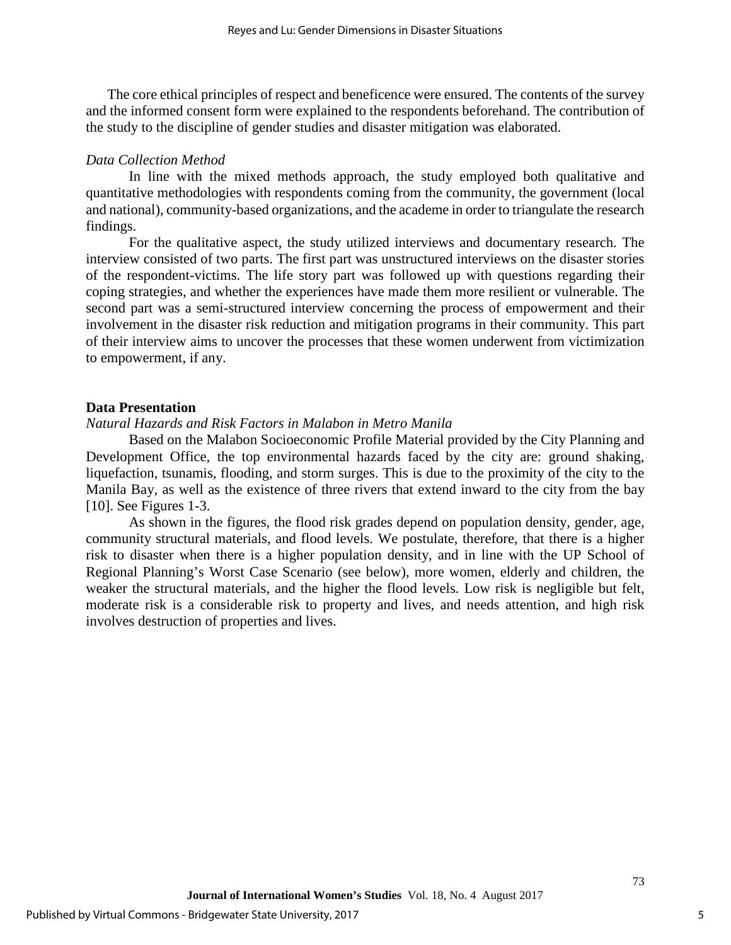The core ethical principles of respect and beneficence were ensured. The contents of the survey and the informed consent form were explained to the respondents beforehand. The contribution of the study to the discipline of gender studies and disaster mitigation was elaborated.

#### *Data Collection Method*

In line with the mixed methods approach, the study employed both qualitative and quantitative methodologies with respondents coming from the community, the government (local and national), community-based organizations, and the academe in order to triangulate the research findings.

For the qualitative aspect, the study utilized interviews and documentary research. The interview consisted of two parts. The first part was unstructured interviews on the disaster stories of the respondent-victims. The life story part was followed up with questions regarding their coping strategies, and whether the experiences have made them more resilient or vulnerable. The second part was a semi-structured interview concerning the process of empowerment and their involvement in the disaster risk reduction and mitigation programs in their community. This part of their interview aims to uncover the processes that these women underwent from victimization to empowerment, if any.

#### **Data Presentation**

## *Natural Hazards and Risk Factors in Malabon in Metro Manila*

Based on the Malabon Socioeconomic Profile Material provided by the City Planning and Development Office, the top environmental hazards faced by the city are: ground shaking, liquefaction, tsunamis, flooding, and storm surges. This is due to the proximity of the city to the Manila Bay, as well as the existence of three rivers that extend inward to the city from the bay [10]. See Figures 1-3.

As shown in the figures, the flood risk grades depend on population density, gender, age, community structural materials, and flood levels. We postulate, therefore, that there is a higher risk to disaster when there is a higher population density, and in line with the UP School of Regional Planning's Worst Case Scenario (see below), more women, elderly and children, the weaker the structural materials, and the higher the flood levels. Low risk is negligible but felt, moderate risk is a considerable risk to property and lives, and needs attention, and high risk involves destruction of properties and lives.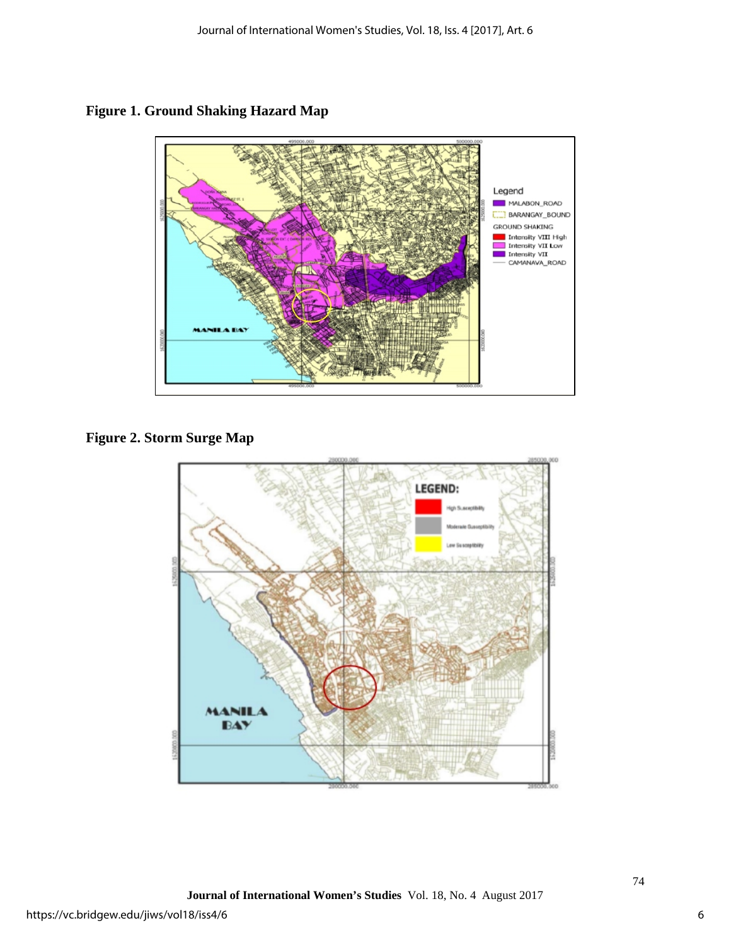**Figure 1. Ground Shaking Hazard Map** 



**Figure 2. Storm Surge Map**

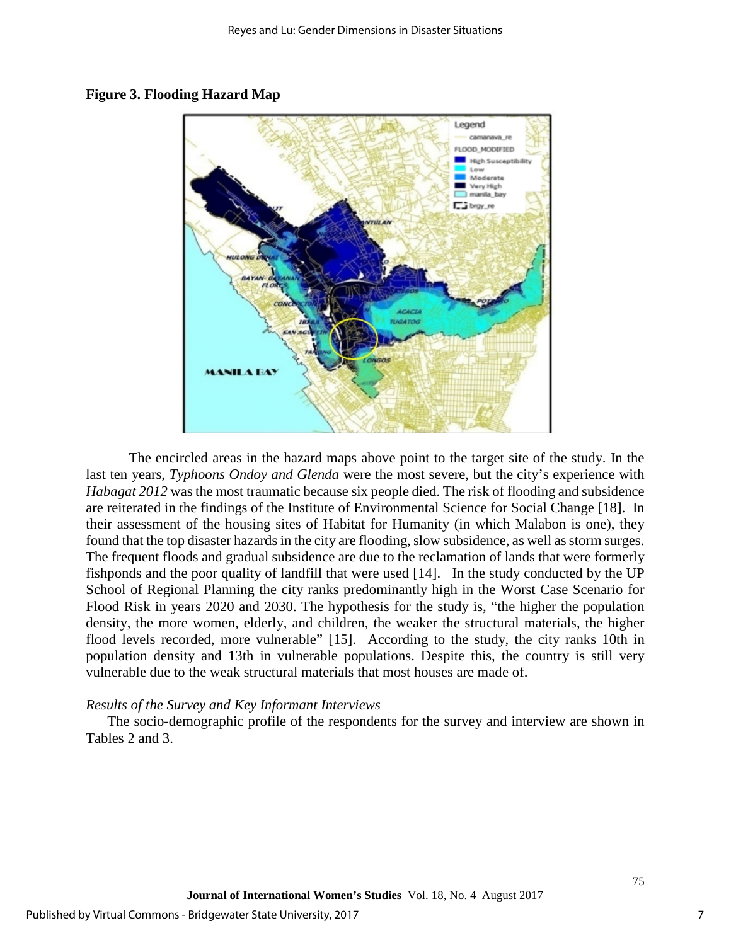

#### **Figure 3. Flooding Hazard Map**

The encircled areas in the hazard maps above point to the target site of the study. In the last ten years, *Typhoons Ondoy and Glenda* were the most severe, but the city's experience with *Habagat 2012* was the most traumatic because six people died. The risk of flooding and subsidence are reiterated in the findings of the Institute of Environmental Science for Social Change [18]. In their assessment of the housing sites of Habitat for Humanity (in which Malabon is one), they found that the top disaster hazards in the city are flooding, slow subsidence, as well as storm surges. The frequent floods and gradual subsidence are due to the reclamation of lands that were formerly fishponds and the poor quality of landfill that were used [14]. In the study conducted by the UP School of Regional Planning the city ranks predominantly high in the Worst Case Scenario for Flood Risk in years 2020 and 2030. The hypothesis for the study is, "the higher the population density, the more women, elderly, and children, the weaker the structural materials, the higher flood levels recorded, more vulnerable" [15]. According to the study, the city ranks 10th in population density and 13th in vulnerable populations. Despite this, the country is still very vulnerable due to the weak structural materials that most houses are made of.

#### *Results of the Survey and Key Informant Interviews*

The socio-demographic profile of the respondents for the survey and interview are shown in Tables 2 and 3.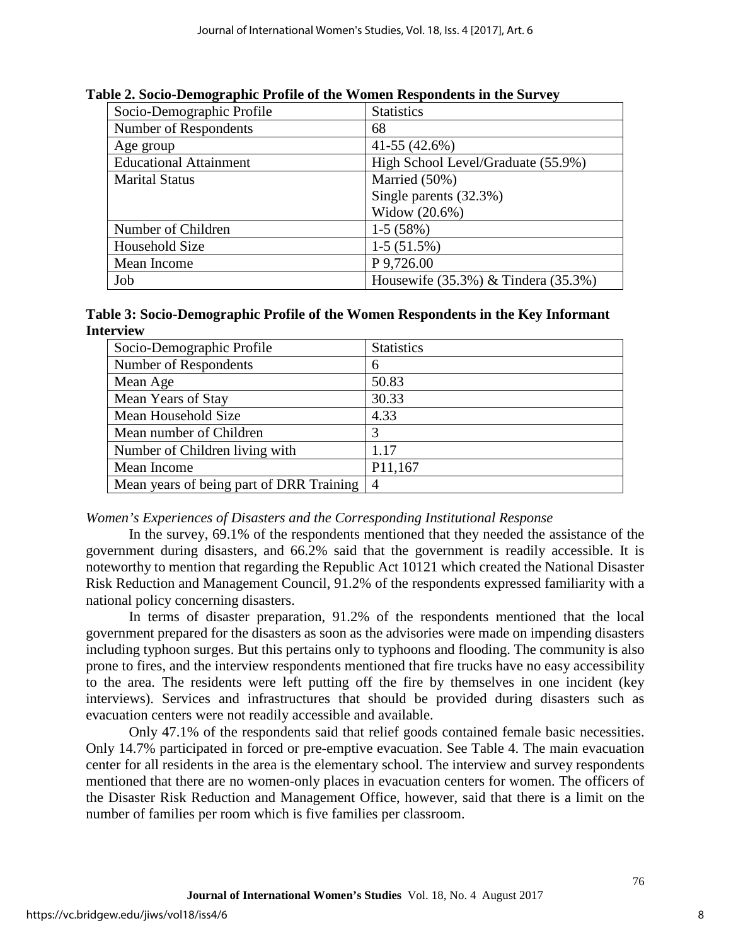| Socio-Demographic Profile     | <b>Statistics</b>                         |
|-------------------------------|-------------------------------------------|
| Number of Respondents         | 68                                        |
| Age group                     | $41-55(42.6%)$                            |
| <b>Educational Attainment</b> | High School Level/Graduate (55.9%)        |
| <b>Marital Status</b>         | Married (50%)                             |
|                               | Single parents (32.3%)                    |
|                               | Widow (20.6%)                             |
| Number of Children            | $1-5(58%)$                                |
| Household Size                | $1-5(51.5%)$                              |
| Mean Income                   | P 9,726.00                                |
| Job                           | Housewife $(35.3\%)$ & Tindera $(35.3\%)$ |

**Table 2. Socio-Demographic Profile of the Women Respondents in the Survey**

## **Table 3: Socio-Demographic Profile of the Women Respondents in the Key Informant Interview**

| Socio-Demographic Profile                | <b>Statistics</b> |
|------------------------------------------|-------------------|
| Number of Respondents                    | 6                 |
| Mean Age                                 | 50.83             |
| Mean Years of Stay                       | 30.33             |
| Mean Household Size                      | 4.33              |
| Mean number of Children                  | 3                 |
| Number of Children living with           | 1.17              |
| Mean Income                              | P11,167           |
| Mean years of being part of DRR Training | $\overline{4}$    |

## *Women's Experiences of Disasters and the Corresponding Institutional Response*

In the survey, 69.1% of the respondents mentioned that they needed the assistance of the government during disasters, and 66.2% said that the government is readily accessible. It is noteworthy to mention that regarding the Republic Act 10121 which created the National Disaster Risk Reduction and Management Council, 91.2% of the respondents expressed familiarity with a national policy concerning disasters.

In terms of disaster preparation, 91.2% of the respondents mentioned that the local government prepared for the disasters as soon as the advisories were made on impending disasters including typhoon surges. But this pertains only to typhoons and flooding. The community is also prone to fires, and the interview respondents mentioned that fire trucks have no easy accessibility to the area. The residents were left putting off the fire by themselves in one incident (key interviews). Services and infrastructures that should be provided during disasters such as evacuation centers were not readily accessible and available.

Only 47.1% of the respondents said that relief goods contained female basic necessities. Only 14.7% participated in forced or pre-emptive evacuation. See Table 4. The main evacuation center for all residents in the area is the elementary school. The interview and survey respondents mentioned that there are no women-only places in evacuation centers for women. The officers of the Disaster Risk Reduction and Management Office, however, said that there is a limit on the number of families per room which is five families per classroom.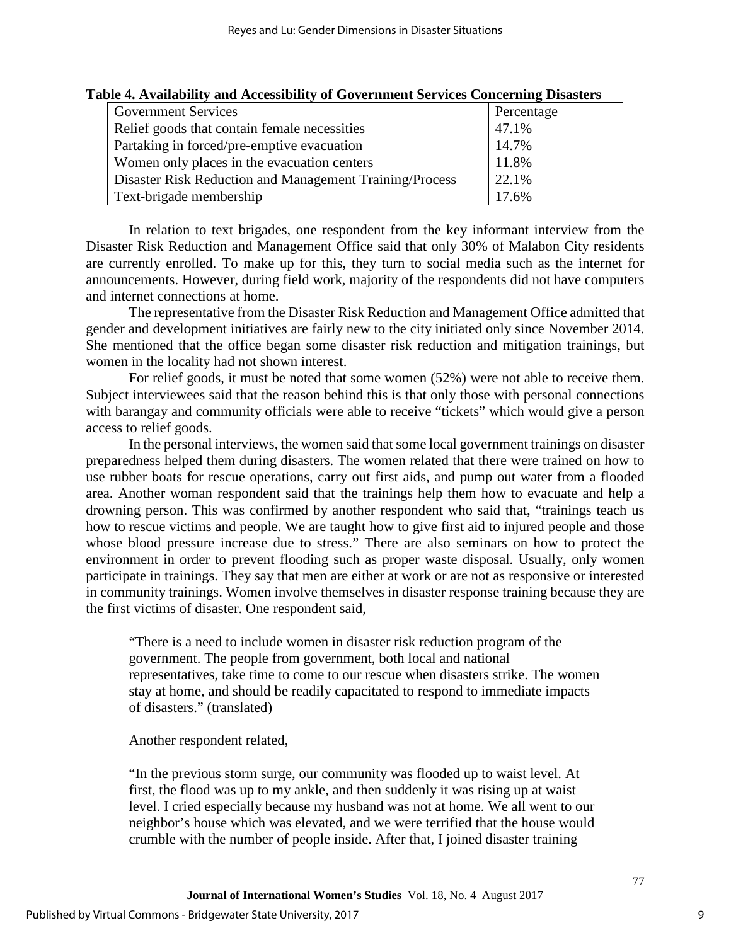| <b>Government Services</b>                              | Percentage |
|---------------------------------------------------------|------------|
| Relief goods that contain female necessities            | 47.1%      |
| Partaking in forced/pre-emptive evacuation              | 14.7%      |
| Women only places in the evacuation centers             | 11.8%      |
| Disaster Risk Reduction and Management Training/Process | 22.1%      |
| Text-brigade membership                                 | 17.6%      |

## **Table 4. Availability and Accessibility of Government Services Concerning Disasters**

In relation to text brigades, one respondent from the key informant interview from the Disaster Risk Reduction and Management Office said that only 30% of Malabon City residents are currently enrolled. To make up for this, they turn to social media such as the internet for announcements. However, during field work, majority of the respondents did not have computers and internet connections at home.

The representative from the Disaster Risk Reduction and Management Office admitted that gender and development initiatives are fairly new to the city initiated only since November 2014. She mentioned that the office began some disaster risk reduction and mitigation trainings, but women in the locality had not shown interest.

For relief goods, it must be noted that some women (52%) were not able to receive them. Subject interviewees said that the reason behind this is that only those with personal connections with barangay and community officials were able to receive "tickets" which would give a person access to relief goods.

In the personal interviews, the women said that some local government trainings on disaster preparedness helped them during disasters. The women related that there were trained on how to use rubber boats for rescue operations, carry out first aids, and pump out water from a flooded area. Another woman respondent said that the trainings help them how to evacuate and help a drowning person. This was confirmed by another respondent who said that, "trainings teach us how to rescue victims and people. We are taught how to give first aid to injured people and those whose blood pressure increase due to stress." There are also seminars on how to protect the environment in order to prevent flooding such as proper waste disposal. Usually, only women participate in trainings. They say that men are either at work or are not as responsive or interested in community trainings. Women involve themselves in disaster response training because they are the first victims of disaster. One respondent said,

"There is a need to include women in disaster risk reduction program of the government. The people from government, both local and national representatives, take time to come to our rescue when disasters strike. The women stay at home, and should be readily capacitated to respond to immediate impacts of disasters." (translated)

Another respondent related,

"In the previous storm surge, our community was flooded up to waist level. At first, the flood was up to my ankle, and then suddenly it was rising up at waist level. I cried especially because my husband was not at home. We all went to our neighbor's house which was elevated, and we were terrified that the house would crumble with the number of people inside. After that, I joined disaster training

**Journal of International Women's Studies** Vol. 18, No. 4 August 2017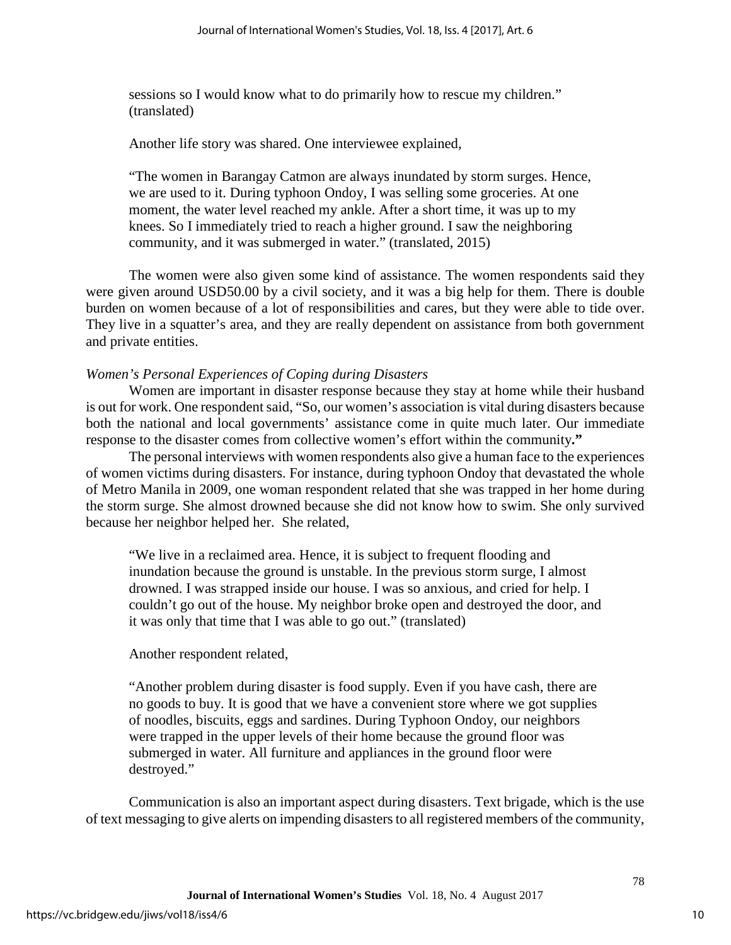sessions so I would know what to do primarily how to rescue my children." (translated)

Another life story was shared. One interviewee explained,

"The women in Barangay Catmon are always inundated by storm surges. Hence, we are used to it. During typhoon Ondoy, I was selling some groceries. At one moment, the water level reached my ankle. After a short time, it was up to my knees. So I immediately tried to reach a higher ground. I saw the neighboring community, and it was submerged in water." (translated, 2015)

The women were also given some kind of assistance. The women respondents said they were given around USD50.00 by a civil society, and it was a big help for them. There is double burden on women because of a lot of responsibilities and cares, but they were able to tide over. They live in a squatter's area, and they are really dependent on assistance from both government and private entities.

## *Women's Personal Experiences of Coping during Disasters*

Women are important in disaster response because they stay at home while their husband is out for work. One respondent said, "So, our women's association is vital during disasters because both the national and local governments' assistance come in quite much later. Our immediate response to the disaster comes from collective women's effort within the community**."** 

The personal interviews with women respondents also give a human face to the experiences of women victims during disasters. For instance, during typhoon Ondoy that devastated the whole of Metro Manila in 2009, one woman respondent related that she was trapped in her home during the storm surge. She almost drowned because she did not know how to swim. She only survived because her neighbor helped her. She related,

"We live in a reclaimed area. Hence, it is subject to frequent flooding and inundation because the ground is unstable. In the previous storm surge, I almost drowned. I was strapped inside our house. I was so anxious, and cried for help. I couldn't go out of the house. My neighbor broke open and destroyed the door, and it was only that time that I was able to go out." (translated)

## Another respondent related,

"Another problem during disaster is food supply. Even if you have cash, there are no goods to buy. It is good that we have a convenient store where we got supplies of noodles, biscuits, eggs and sardines. During Typhoon Ondoy, our neighbors were trapped in the upper levels of their home because the ground floor was submerged in water. All furniture and appliances in the ground floor were destroyed."

Communication is also an important aspect during disasters. Text brigade, which is the use of text messaging to give alerts on impending disasters to all registered members of the community,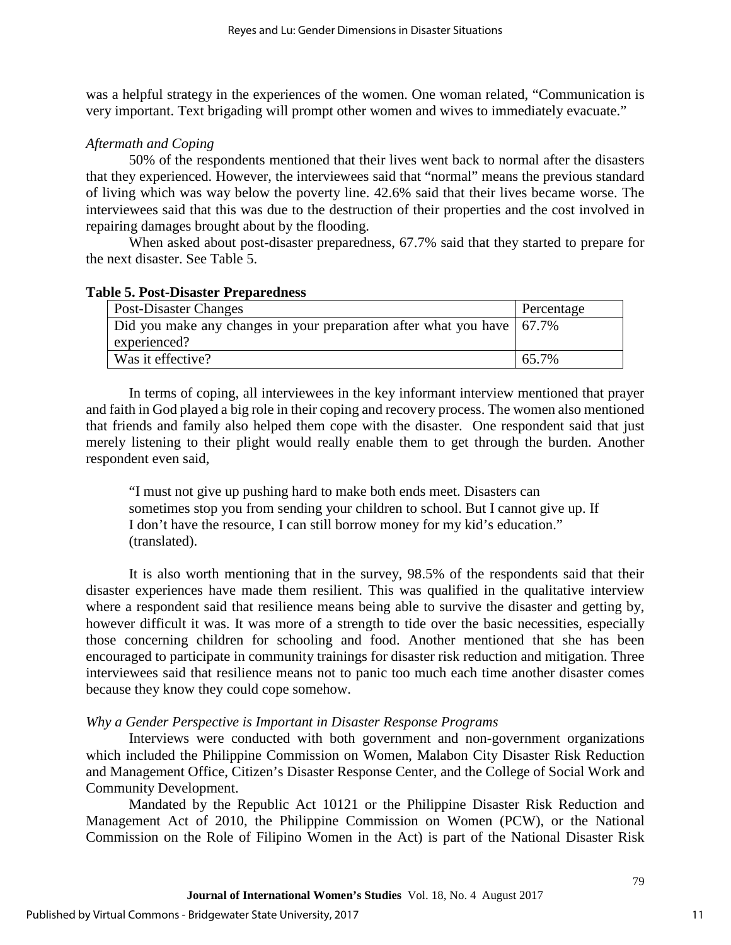was a helpful strategy in the experiences of the women. One woman related, "Communication is very important. Text brigading will prompt other women and wives to immediately evacuate."

## *Aftermath and Coping*

50% of the respondents mentioned that their lives went back to normal after the disasters that they experienced. However, the interviewees said that "normal" means the previous standard of living which was way below the poverty line. 42.6% said that their lives became worse. The interviewees said that this was due to the destruction of their properties and the cost involved in repairing damages brought about by the flooding.

When asked about post-disaster preparedness, 67.7% said that they started to prepare for the next disaster. See Table 5.

## **Table 5. Post-Disaster Preparedness**

| Post-Disaster Changes                                                    | Percentage |
|--------------------------------------------------------------------------|------------|
| Did you make any changes in your preparation after what you have   67.7% |            |
| experienced?                                                             |            |
| Was it effective?                                                        | 65.7%      |

In terms of coping, all interviewees in the key informant interview mentioned that prayer and faith in God played a big role in their coping and recovery process. The women also mentioned that friends and family also helped them cope with the disaster. One respondent said that just merely listening to their plight would really enable them to get through the burden. Another respondent even said,

"I must not give up pushing hard to make both ends meet. Disasters can sometimes stop you from sending your children to school. But I cannot give up. If I don't have the resource, I can still borrow money for my kid's education." (translated).

It is also worth mentioning that in the survey, 98.5% of the respondents said that their disaster experiences have made them resilient. This was qualified in the qualitative interview where a respondent said that resilience means being able to survive the disaster and getting by, however difficult it was. It was more of a strength to tide over the basic necessities, especially those concerning children for schooling and food. Another mentioned that she has been encouraged to participate in community trainings for disaster risk reduction and mitigation. Three interviewees said that resilience means not to panic too much each time another disaster comes because they know they could cope somehow.

## *Why a Gender Perspective is Important in Disaster Response Programs*

Interviews were conducted with both government and non-government organizations which included the Philippine Commission on Women, Malabon City Disaster Risk Reduction and Management Office, Citizen's Disaster Response Center, and the College of Social Work and Community Development.

Mandated by the Republic Act 10121 or the Philippine Disaster Risk Reduction and Management Act of 2010, the Philippine Commission on Women (PCW), or the National Commission on the Role of Filipino Women in the Act) is part of the National Disaster Risk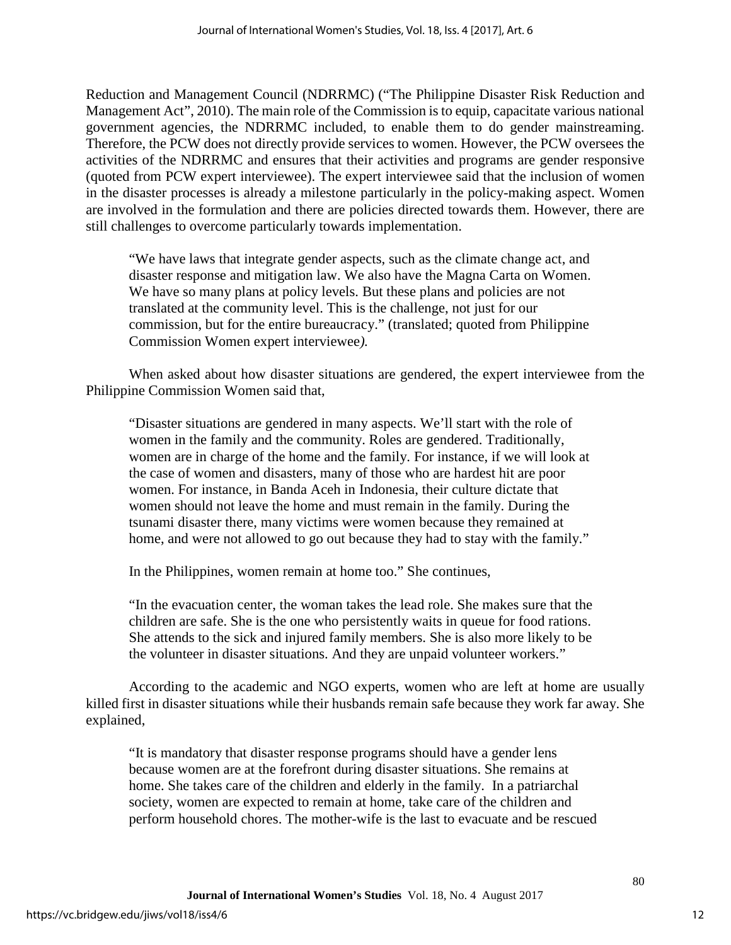Reduction and Management Council (NDRRMC) ("The Philippine Disaster Risk Reduction and Management Act", 2010). The main role of the Commission is to equip, capacitate various national government agencies, the NDRRMC included, to enable them to do gender mainstreaming. Therefore, the PCW does not directly provide services to women. However, the PCW oversees the activities of the NDRRMC and ensures that their activities and programs are gender responsive (quoted from PCW expert interviewee). The expert interviewee said that the inclusion of women in the disaster processes is already a milestone particularly in the policy-making aspect. Women are involved in the formulation and there are policies directed towards them. However, there are still challenges to overcome particularly towards implementation.

"We have laws that integrate gender aspects, such as the climate change act, and disaster response and mitigation law. We also have the Magna Carta on Women. We have so many plans at policy levels. But these plans and policies are not translated at the community level. This is the challenge, not just for our commission, but for the entire bureaucracy." (translated; quoted from Philippine Commission Women expert interviewee*).* 

When asked about how disaster situations are gendered, the expert interviewee from the Philippine Commission Women said that,

"Disaster situations are gendered in many aspects. We'll start with the role of women in the family and the community. Roles are gendered. Traditionally, women are in charge of the home and the family. For instance, if we will look at the case of women and disasters, many of those who are hardest hit are poor women. For instance, in Banda Aceh in Indonesia, their culture dictate that women should not leave the home and must remain in the family. During the tsunami disaster there, many victims were women because they remained at home, and were not allowed to go out because they had to stay with the family."

In the Philippines, women remain at home too." She continues,

"In the evacuation center, the woman takes the lead role. She makes sure that the children are safe. She is the one who persistently waits in queue for food rations. She attends to the sick and injured family members. She is also more likely to be the volunteer in disaster situations. And they are unpaid volunteer workers."

According to the academic and NGO experts, women who are left at home are usually killed first in disaster situations while their husbands remain safe because they work far away. She explained,

"It is mandatory that disaster response programs should have a gender lens because women are at the forefront during disaster situations. She remains at home. She takes care of the children and elderly in the family. In a patriarchal society, women are expected to remain at home, take care of the children and perform household chores. The mother-wife is the last to evacuate and be rescued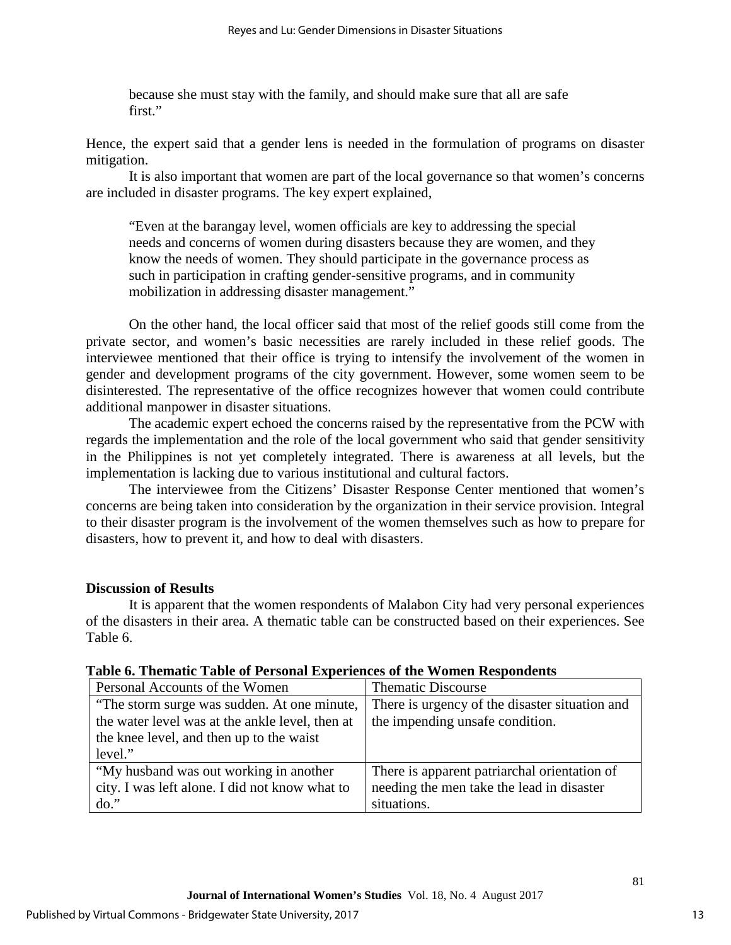because she must stay with the family, and should make sure that all are safe first."

Hence, the expert said that a gender lens is needed in the formulation of programs on disaster mitigation.

It is also important that women are part of the local governance so that women's concerns are included in disaster programs. The key expert explained,

"Even at the barangay level, women officials are key to addressing the special needs and concerns of women during disasters because they are women, and they know the needs of women. They should participate in the governance process as such in participation in crafting gender-sensitive programs, and in community mobilization in addressing disaster management."

On the other hand, the local officer said that most of the relief goods still come from the private sector, and women's basic necessities are rarely included in these relief goods. The interviewee mentioned that their office is trying to intensify the involvement of the women in gender and development programs of the city government. However, some women seem to be disinterested. The representative of the office recognizes however that women could contribute additional manpower in disaster situations.

The academic expert echoed the concerns raised by the representative from the PCW with regards the implementation and the role of the local government who said that gender sensitivity in the Philippines is not yet completely integrated. There is awareness at all levels, but the implementation is lacking due to various institutional and cultural factors.

The interviewee from the Citizens' Disaster Response Center mentioned that women's concerns are being taken into consideration by the organization in their service provision. Integral to their disaster program is the involvement of the women themselves such as how to prepare for disasters, how to prevent it, and how to deal with disasters.

## **Discussion of Results**

It is apparent that the women respondents of Malabon City had very personal experiences of the disasters in their area. A thematic table can be constructed based on their experiences. See Table 6.

| Personal Accounts of the Women           | <b>Thematic Discourse</b>                                                                                                                        |
|------------------------------------------|--------------------------------------------------------------------------------------------------------------------------------------------------|
|                                          | There is urgency of the disaster situation and                                                                                                   |
|                                          | the impending unsafe condition.                                                                                                                  |
| the knee level, and then up to the waist |                                                                                                                                                  |
| level."                                  |                                                                                                                                                  |
| "My husband was out working in another   | There is apparent patriarchal orientation of                                                                                                     |
|                                          | needing the men take the lead in disaster                                                                                                        |
| $do.$ "                                  | situations.                                                                                                                                      |
|                                          | "The storm surge was sudden. At one minute,<br>the water level was at the ankle level, then at<br>city. I was left alone. I did not know what to |

## **Table 6. Thematic Table of Personal Experiences of the Women Respondents**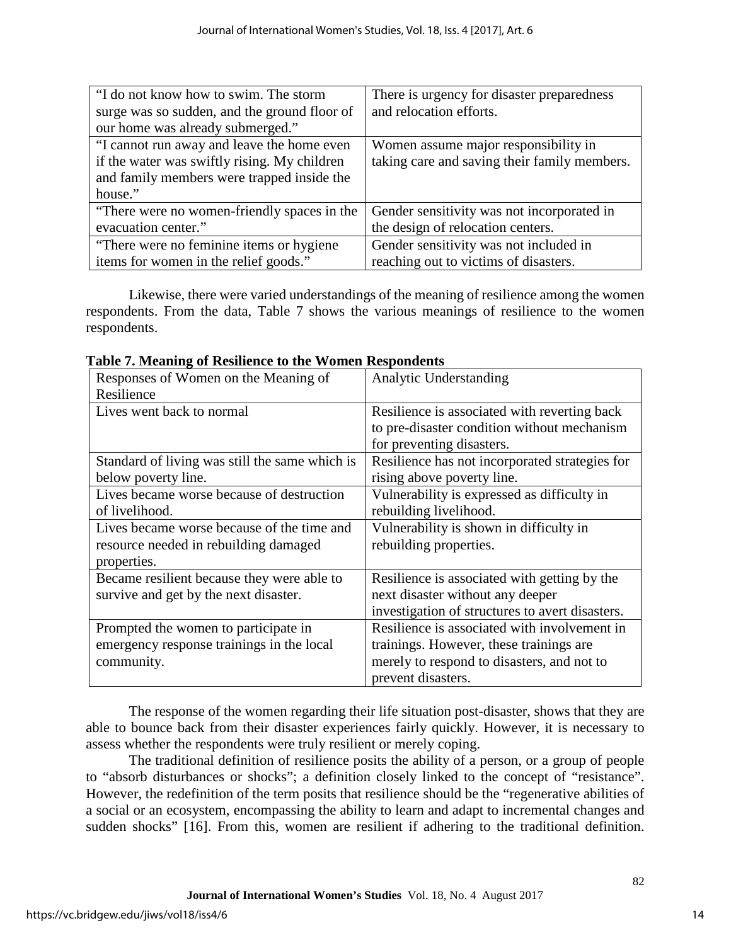| "I do not know how to swim. The storm        | There is urgency for disaster preparedness   |
|----------------------------------------------|----------------------------------------------|
| surge was so sudden, and the ground floor of | and relocation efforts.                      |
| our home was already submerged."             |                                              |
| "I cannot run away and leave the home even   | Women assume major responsibility in         |
| if the water was swiftly rising. My children | taking care and saving their family members. |
| and family members were trapped inside the   |                                              |
| house."                                      |                                              |
| "There were no women-friendly spaces in the  | Gender sensitivity was not incorporated in   |
| evacuation center."                          | the design of relocation centers.            |
| "There were no feminine items or hygiene"    | Gender sensitivity was not included in       |
| items for women in the relief goods."        | reaching out to victims of disasters.        |

Likewise, there were varied understandings of the meaning of resilience among the women respondents. From the data, Table 7 shows the various meanings of resilience to the women respondents.

| Responses of Women on the Meaning of           | Analytic Understanding                          |
|------------------------------------------------|-------------------------------------------------|
| Resilience                                     |                                                 |
| Lives went back to normal                      | Resilience is associated with reverting back    |
|                                                | to pre-disaster condition without mechanism     |
|                                                | for preventing disasters.                       |
| Standard of living was still the same which is | Resilience has not incorporated strategies for  |
| below poverty line.                            | rising above poverty line.                      |
| Lives became worse because of destruction      | Vulnerability is expressed as difficulty in     |
| of livelihood.                                 | rebuilding livelihood.                          |
| Lives became worse because of the time and     | Vulnerability is shown in difficulty in         |
| resource needed in rebuilding damaged          | rebuilding properties.                          |
| properties.                                    |                                                 |
| Became resilient because they were able to     | Resilience is associated with getting by the    |
| survive and get by the next disaster.          | next disaster without any deeper                |
|                                                | investigation of structures to avert disasters. |
| Prompted the women to participate in           | Resilience is associated with involvement in    |
| emergency response trainings in the local      | trainings. However, these trainings are         |
| community.                                     | merely to respond to disasters, and not to      |
|                                                | prevent disasters.                              |

**Table 7. Meaning of Resilience to the Women Respondents**

The response of the women regarding their life situation post-disaster, shows that they are able to bounce back from their disaster experiences fairly quickly. However, it is necessary to assess whether the respondents were truly resilient or merely coping.

The traditional definition of resilience posits the ability of a person, or a group of people to "absorb disturbances or shocks"; a definition closely linked to the concept of "resistance". However, the redefinition of the term posits that resilience should be the "regenerative abilities of a social or an ecosystem, encompassing the ability to learn and adapt to incremental changes and sudden shocks" [16]. From this, women are resilient if adhering to the traditional definition.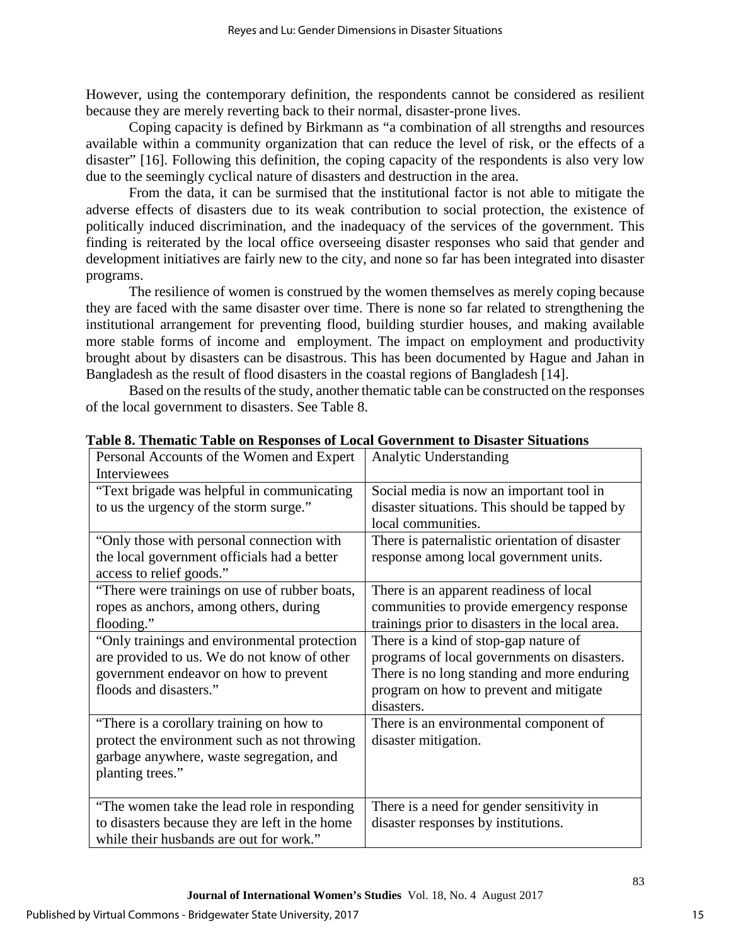However, using the contemporary definition, the respondents cannot be considered as resilient because they are merely reverting back to their normal, disaster-prone lives.

Coping capacity is defined by Birkmann as "a combination of all strengths and resources available within a community organization that can reduce the level of risk, or the effects of a disaster" [16]. Following this definition, the coping capacity of the respondents is also very low due to the seemingly cyclical nature of disasters and destruction in the area.

From the data, it can be surmised that the institutional factor is not able to mitigate the adverse effects of disasters due to its weak contribution to social protection, the existence of politically induced discrimination, and the inadequacy of the services of the government. This finding is reiterated by the local office overseeing disaster responses who said that gender and development initiatives are fairly new to the city, and none so far has been integrated into disaster programs.

The resilience of women is construed by the women themselves as merely coping because they are faced with the same disaster over time. There is none so far related to strengthening the institutional arrangement for preventing flood, building sturdier houses, and making available more stable forms of income and employment. The impact on employment and productivity brought about by disasters can be disastrous. This has been documented by Hague and Jahan in Bangladesh as the result of flood disasters in the coastal regions of Bangladesh [14].

Based on the results of the study, another thematic table can be constructed on the responses of the local government to disasters. See Table 8.

| Personal Accounts of the Women and Expert<br><b>Interviewees</b>                                                                                               | Analytic Understanding                                                                                                                                                                      |
|----------------------------------------------------------------------------------------------------------------------------------------------------------------|---------------------------------------------------------------------------------------------------------------------------------------------------------------------------------------------|
| "Text brigade was helpful in communicating<br>to us the urgency of the storm surge."                                                                           | Social media is now an important tool in<br>disaster situations. This should be tapped by<br>local communities.                                                                             |
| "Only those with personal connection with<br>the local government officials had a better<br>access to relief goods."                                           | There is paternalistic orientation of disaster<br>response among local government units.                                                                                                    |
| "There were trainings on use of rubber boats,<br>ropes as anchors, among others, during<br>flooding."                                                          | There is an apparent readiness of local<br>communities to provide emergency response<br>trainings prior to disasters in the local area.                                                     |
| "Only trainings and environmental protection<br>are provided to us. We do not know of other<br>government endeavor on how to prevent<br>floods and disasters." | There is a kind of stop-gap nature of<br>programs of local governments on disasters.<br>There is no long standing and more enduring<br>program on how to prevent and mitigate<br>disasters. |
| "There is a corollary training on how to<br>protect the environment such as not throwing<br>garbage anywhere, waste segregation, and<br>planting trees."       | There is an environmental component of<br>disaster mitigation.                                                                                                                              |
| "The women take the lead role in responding"<br>to disasters because they are left in the home<br>while their husbands are out for work."                      | There is a need for gender sensitivity in<br>disaster responses by institutions.                                                                                                            |

**Table 8. Thematic Table on Responses of Local Government to Disaster Situations**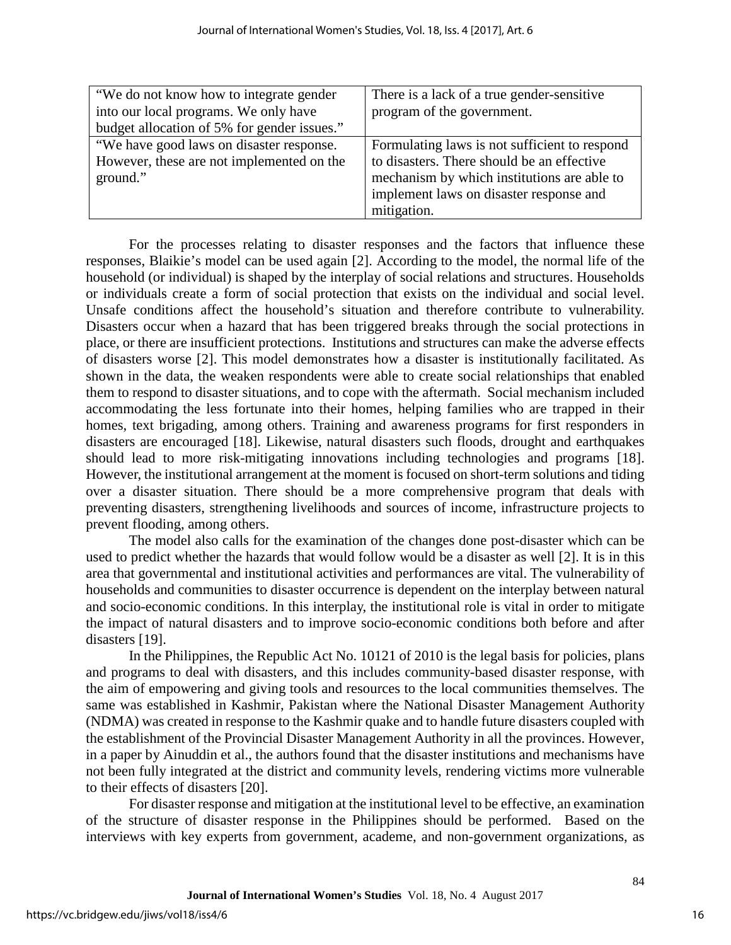| "We do not know how to integrate gender     | There is a lack of a true gender-sensitive    |
|---------------------------------------------|-----------------------------------------------|
| into our local programs. We only have       | program of the government.                    |
| budget allocation of 5% for gender issues." |                                               |
| "We have good laws on disaster response.    | Formulating laws is not sufficient to respond |
| However, these are not implemented on the   | to disasters. There should be an effective    |
| ground."                                    | mechanism by which institutions are able to   |
|                                             | implement laws on disaster response and       |
|                                             | mitigation.                                   |

For the processes relating to disaster responses and the factors that influence these responses, Blaikie's model can be used again [2]. According to the model, the normal life of the household (or individual) is shaped by the interplay of social relations and structures. Households or individuals create a form of social protection that exists on the individual and social level. Unsafe conditions affect the household's situation and therefore contribute to vulnerability. Disasters occur when a hazard that has been triggered breaks through the social protections in place, or there are insufficient protections. Institutions and structures can make the adverse effects of disasters worse [2]. This model demonstrates how a disaster is institutionally facilitated. As shown in the data, the weaken respondents were able to create social relationships that enabled them to respond to disaster situations, and to cope with the aftermath. Social mechanism included accommodating the less fortunate into their homes, helping families who are trapped in their homes, text brigading, among others. Training and awareness programs for first responders in disasters are encouraged [18]. Likewise, natural disasters such floods, drought and earthquakes should lead to more risk-mitigating innovations including technologies and programs [18]. However, the institutional arrangement at the moment is focused on short-term solutions and tiding over a disaster situation. There should be a more comprehensive program that deals with preventing disasters, strengthening livelihoods and sources of income, infrastructure projects to prevent flooding, among others.

The model also calls for the examination of the changes done post-disaster which can be used to predict whether the hazards that would follow would be a disaster as well [2]. It is in this area that governmental and institutional activities and performances are vital. The vulnerability of households and communities to disaster occurrence is dependent on the interplay between natural and socio-economic conditions. In this interplay, the institutional role is vital in order to mitigate the impact of natural disasters and to improve socio-economic conditions both before and after disasters [19].

In the Philippines, the Republic Act No. 10121 of 2010 is the legal basis for policies, plans and programs to deal with disasters, and this includes community-based disaster response, with the aim of empowering and giving tools and resources to the local communities themselves. The same was established in Kashmir, Pakistan where the National Disaster Management Authority (NDMA) was created in response to the Kashmir quake and to handle future disasters coupled with the establishment of the Provincial Disaster Management Authority in all the provinces. However, in a paper by Ainuddin et al., the authors found that the disaster institutions and mechanisms have not been fully integrated at the district and community levels, rendering victims more vulnerable to their effects of disasters [20].

For disaster response and mitigation at the institutional level to be effective, an examination of the structure of disaster response in the Philippines should be performed. Based on the interviews with key experts from government, academe, and non-government organizations, as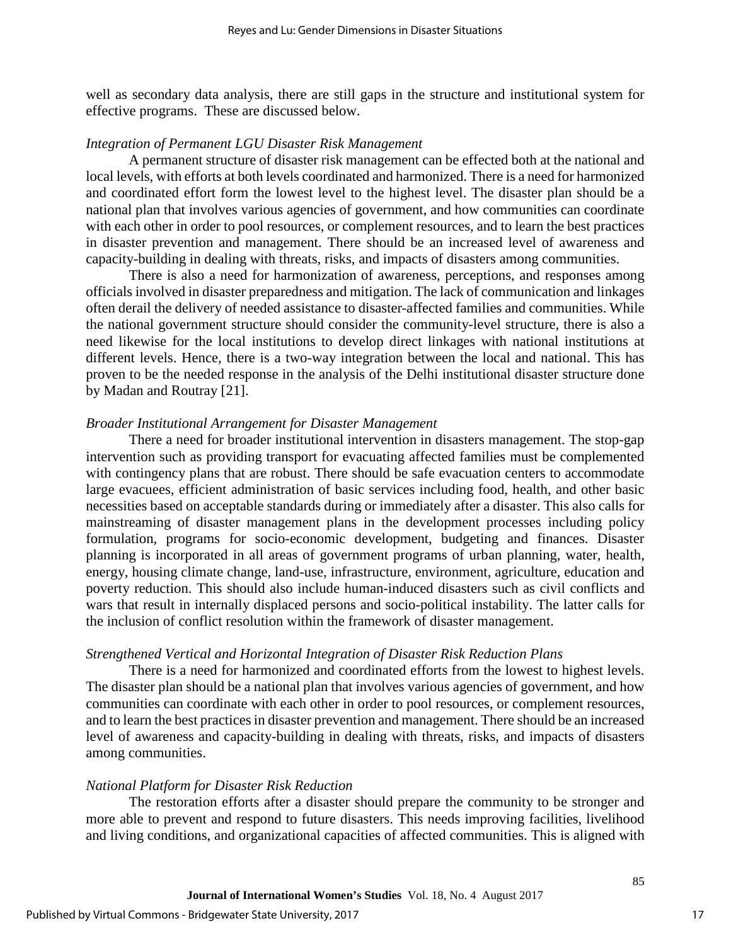well as secondary data analysis, there are still gaps in the structure and institutional system for effective programs. These are discussed below.

## *Integration of Permanent LGU Disaster Risk Management*

A permanent structure of disaster risk management can be effected both at the national and local levels, with efforts at both levels coordinated and harmonized. There is a need for harmonized and coordinated effort form the lowest level to the highest level. The disaster plan should be a national plan that involves various agencies of government, and how communities can coordinate with each other in order to pool resources, or complement resources, and to learn the best practices in disaster prevention and management. There should be an increased level of awareness and capacity-building in dealing with threats, risks, and impacts of disasters among communities.

There is also a need for harmonization of awareness, perceptions, and responses among officials involved in disaster preparedness and mitigation. The lack of communication and linkages often derail the delivery of needed assistance to disaster-affected families and communities. While the national government structure should consider the community-level structure, there is also a need likewise for the local institutions to develop direct linkages with national institutions at different levels. Hence, there is a two-way integration between the local and national. This has proven to be the needed response in the analysis of the Delhi institutional disaster structure done by Madan and Routray [21].

#### *Broader Institutional Arrangement for Disaster Management*

There a need for broader institutional intervention in disasters management. The stop-gap intervention such as providing transport for evacuating affected families must be complemented with contingency plans that are robust. There should be safe evacuation centers to accommodate large evacuees, efficient administration of basic services including food, health, and other basic necessities based on acceptable standards during or immediately after a disaster. This also calls for mainstreaming of disaster management plans in the development processes including policy formulation, programs for socio-economic development, budgeting and finances. Disaster planning is incorporated in all areas of government programs of urban planning, water, health, energy, housing climate change, land-use, infrastructure, environment, agriculture, education and poverty reduction. This should also include human-induced disasters such as civil conflicts and wars that result in internally displaced persons and socio-political instability. The latter calls for the inclusion of conflict resolution within the framework of disaster management.

#### *Strengthened Vertical and Horizontal Integration of Disaster Risk Reduction Plans*

There is a need for harmonized and coordinated efforts from the lowest to highest levels. The disaster plan should be a national plan that involves various agencies of government, and how communities can coordinate with each other in order to pool resources, or complement resources, and to learn the best practices in disaster prevention and management. There should be an increased level of awareness and capacity-building in dealing with threats, risks, and impacts of disasters among communities.

#### *National Platform for Disaster Risk Reduction*

The restoration efforts after a disaster should prepare the community to be stronger and more able to prevent and respond to future disasters. This needs improving facilities, livelihood and living conditions, and organizational capacities of affected communities. This is aligned with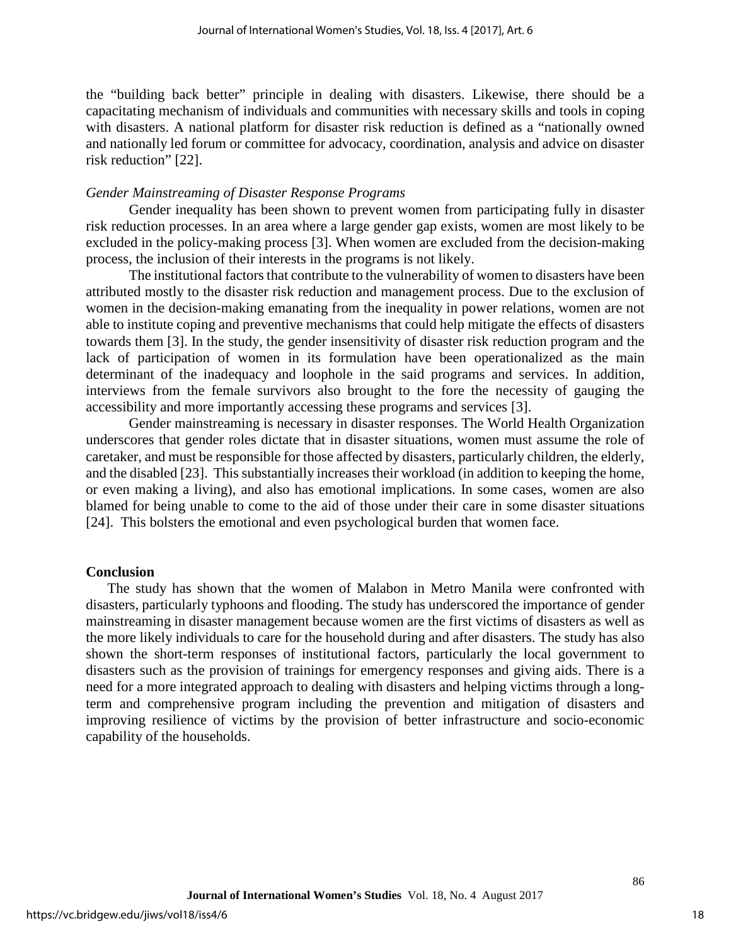the "building back better" principle in dealing with disasters. Likewise, there should be a capacitating mechanism of individuals and communities with necessary skills and tools in coping with disasters. A national platform for disaster risk reduction is defined as a "nationally owned and nationally led forum or committee for advocacy, coordination, analysis and advice on disaster risk reduction" [22].

#### *Gender Mainstreaming of Disaster Response Programs*

Gender inequality has been shown to prevent women from participating fully in disaster risk reduction processes. In an area where a large gender gap exists, women are most likely to be excluded in the policy-making process [3]. When women are excluded from the decision-making process, the inclusion of their interests in the programs is not likely.

The institutional factors that contribute to the vulnerability of women to disasters have been attributed mostly to the disaster risk reduction and management process. Due to the exclusion of women in the decision-making emanating from the inequality in power relations, women are not able to institute coping and preventive mechanisms that could help mitigate the effects of disasters towards them [3]. In the study, the gender insensitivity of disaster risk reduction program and the lack of participation of women in its formulation have been operationalized as the main determinant of the inadequacy and loophole in the said programs and services. In addition, interviews from the female survivors also brought to the fore the necessity of gauging the accessibility and more importantly accessing these programs and services [3].

Gender mainstreaming is necessary in disaster responses. The World Health Organization underscores that gender roles dictate that in disaster situations, women must assume the role of caretaker, and must be responsible for those affected by disasters, particularly children, the elderly, and the disabled [23]. This substantially increases their workload (in addition to keeping the home, or even making a living), and also has emotional implications. In some cases, women are also blamed for being unable to come to the aid of those under their care in some disaster situations [24]. This bolsters the emotional and even psychological burden that women face.

## **Conclusion**

The study has shown that the women of Malabon in Metro Manila were confronted with disasters, particularly typhoons and flooding. The study has underscored the importance of gender mainstreaming in disaster management because women are the first victims of disasters as well as the more likely individuals to care for the household during and after disasters. The study has also shown the short-term responses of institutional factors, particularly the local government to disasters such as the provision of trainings for emergency responses and giving aids. There is a need for a more integrated approach to dealing with disasters and helping victims through a longterm and comprehensive program including the prevention and mitigation of disasters and improving resilience of victims by the provision of better infrastructure and socio-economic capability of the households.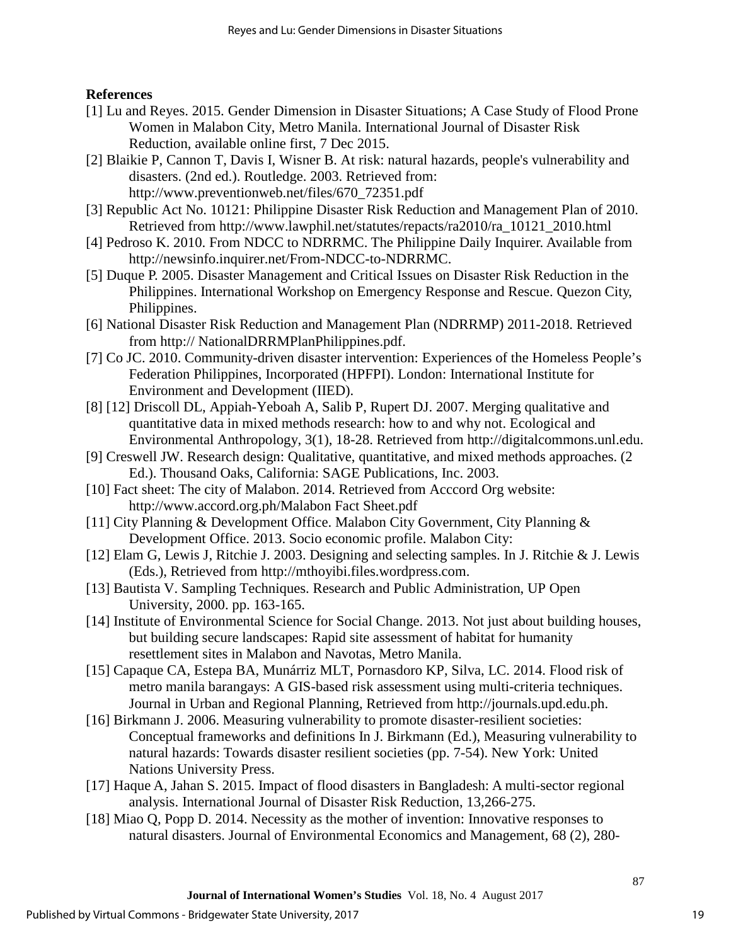## **References**

- [1] Lu and Reyes. 2015. Gender Dimension in Disaster Situations; A Case Study of Flood Prone Women in Malabon City, Metro Manila. International Journal of Disaster Risk Reduction, available online first, 7 Dec 2015.
- [2] Blaikie P, Cannon T, Davis I, Wisner B. At risk: natural hazards, people's vulnerability and disasters. (2nd ed.). Routledge. 2003. Retrieved from: [http://www.preventionweb.net/files/670\\_72351.pdf](http://www.preventionweb.net/files/670_72351.pdf)
- [3] Republic Act No. 10121: Philippine Disaster Risk Reduction and Management Plan of 2010. Retrieved from http://www.lawphil.net/statutes/repacts/ra2010/ra\_10121\_2010.html
- [4] Pedroso K. 2010. From NDCC to NDRRMC. The Philippine Daily Inquirer. Available from [http://newsinfo.inquirer.net/From-NDCC-to-NDRRMC.](http://newsinfo.inquirer.net/From-NDCC-to-NDRRMC)
- [5] Duque P. 2005. Disaster Management and Critical Issues on Disaster Risk Reduction in the Philippines. International Workshop on Emergency Response and Rescue. Quezon City, Philippines.
- [6] National Disaster Risk Reduction and Management Plan (NDRRMP) 2011-2018. Retrieved from http:// NationalDRRMPlanPhilippines.pdf.
- [7] Co JC. 2010. Community-driven disaster intervention: Experiences of the Homeless People's Federation Philippines, Incorporated (HPFPI). London: International Institute for Environment and Development (IIED).
- [8] [12] Driscoll DL, Appiah-Yeboah A, Salib P, Rupert DJ. 2007. Merging qualitative and quantitative data in mixed methods research: how to and why not. Ecological and Environmental Anthropology, 3(1), 18-28. Retrieved from http://digitalcommons.unl.edu.
- [9] Creswell JW. Research design: Qualitative, quantitative, and mixed methods approaches. (2 Ed.). Thousand Oaks, California: SAGE Publications, Inc. 2003.
- [10] Fact sheet: The city of Malabon. 2014. Retrieved from Acccord Org website: http://www.accord.org.ph/Malabon Fact Sheet.pdf
- [11] City Planning & Development Office. Malabon City Government, City Planning & Development Office. 2013. Socio economic profile. Malabon City:
- [12] Elam G, Lewis J, Ritchie J. 2003. Designing and selecting samples. In J. Ritchie & J. Lewis (Eds.), Retrieved from [http://mthoyibi.files.wordpress.com.](http://mthoyibi.files.wordpress.com/)
- [13] Bautista V. Sampling Techniques. Research and Public Administration, UP Open University, 2000. pp. 163-165.
- [14] Institute of Environmental Science for Social Change. 2013. Not just about building houses, but building secure landscapes: Rapid site assessment of habitat for humanity resettlement sites in Malabon and Navotas, Metro Manila.
- [15] Capaque CA, Estepa BA, Munárriz MLT, Pornasdoro KP, Silva, LC. 2014. Flood risk of metro manila barangays: A GIS-based risk assessment using multi-criteria techniques. Journal in Urban and Regional Planning, Retrieved from http://journals.upd.edu.ph.
- [16] Birkmann J. 2006. Measuring vulnerability to promote disaster-resilient societies: Conceptual frameworks and definitions In J. Birkmann (Ed.), Measuring vulnerability to natural hazards: Towards disaster resilient societies (pp. 7-54). New York: United Nations University Press.
- [17] Haque A, Jahan S. 2015. Impact of flood disasters in Bangladesh: A multi-sector regional analysis. International Journal of Disaster Risk Reduction, 13,266-275.
- [18] Miao Q, Popp D. 2014. Necessity as the mother of invention: Innovative responses to natural disasters. Journal of Environmental Economics and Management, 68 (2), 280-